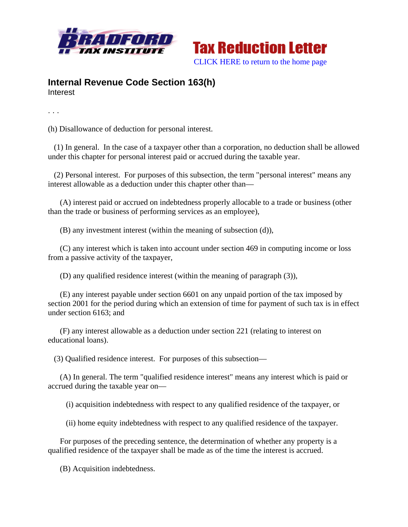



## **Internal Revenue Code Section 163(h)**  Interest

. . .

(h) Disallowance of deduction for personal interest.

 (1) In general. In the case of a taxpayer other than a corporation, no deduction shall be allowed under this chapter for personal interest paid or accrued during the taxable year.

 (2) Personal interest. For purposes of this subsection, the term "personal interest" means any interest allowable as a deduction under this chapter other than—

 (A) interest paid or accrued on indebtedness properly allocable to a trade or business (other than the trade or business of performing services as an employee),

(B) any investment interest (within the meaning of subsection (d)),

 (C) any interest which is taken into account under section 469 in computing income or loss from a passive activity of the taxpayer,

(D) any qualified residence interest (within the meaning of paragraph (3)),

 (E) any interest payable under section 6601 on any unpaid portion of the tax imposed by section 2001 for the period during which an extension of time for payment of such tax is in effect under section 6163; and

 (F) any interest allowable as a deduction under section 221 (relating to interest on educational loans).

(3) Qualified residence interest. For purposes of this subsection—

 (A) In general. The term "qualified residence interest" means any interest which is paid or accrued during the taxable year on—

(i) acquisition indebtedness with respect to any qualified residence of the taxpayer, or

(ii) home equity indebtedness with respect to any qualified residence of the taxpayer.

 For purposes of the preceding sentence, the determination of whether any property is a qualified residence of the taxpayer shall be made as of the time the interest is accrued.

(B) Acquisition indebtedness.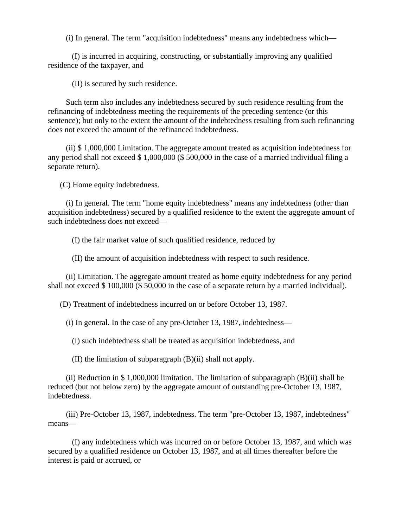(i) In general. The term "acquisition indebtedness" means any indebtedness which—

 (I) is incurred in acquiring, constructing, or substantially improving any qualified residence of the taxpayer, and

(II) is secured by such residence.

 Such term also includes any indebtedness secured by such residence resulting from the refinancing of indebtedness meeting the requirements of the preceding sentence (or this sentence); but only to the extent the amount of the indebtedness resulting from such refinancing does not exceed the amount of the refinanced indebtedness.

 (ii) \$ 1,000,000 Limitation. The aggregate amount treated as acquisition indebtedness for any period shall not exceed \$ 1,000,000 (\$ 500,000 in the case of a married individual filing a separate return).

(C) Home equity indebtedness.

 (i) In general. The term "home equity indebtedness" means any indebtedness (other than acquisition indebtedness) secured by a qualified residence to the extent the aggregate amount of such indebtedness does not exceed—

(I) the fair market value of such qualified residence, reduced by

(II) the amount of acquisition indebtedness with respect to such residence.

 (ii) Limitation. The aggregate amount treated as home equity indebtedness for any period shall not exceed \$ 100,000 (\$ 50,000 in the case of a separate return by a married individual).

(D) Treatment of indebtedness incurred on or before October 13, 1987.

(i) In general. In the case of any pre-October 13, 1987, indebtedness—

(I) such indebtedness shall be treated as acquisition indebtedness, and

(II) the limitation of subparagraph (B)(ii) shall not apply.

 (ii) Reduction in \$ 1,000,000 limitation. The limitation of subparagraph (B)(ii) shall be reduced (but not below zero) by the aggregate amount of outstanding pre-October 13, 1987, indebtedness.

 (iii) Pre-October 13, 1987, indebtedness. The term "pre-October 13, 1987, indebtedness" means—

 (I) any indebtedness which was incurred on or before October 13, 1987, and which was secured by a qualified residence on October 13, 1987, and at all times thereafter before the interest is paid or accrued, or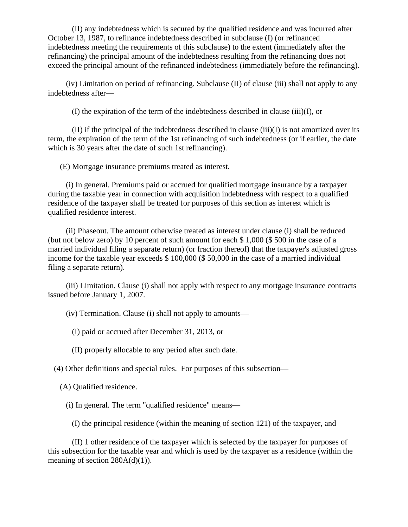(II) any indebtedness which is secured by the qualified residence and was incurred after October 13, 1987, to refinance indebtedness described in subclause (I) (or refinanced indebtedness meeting the requirements of this subclause) to the extent (immediately after the refinancing) the principal amount of the indebtedness resulting from the refinancing does not exceed the principal amount of the refinanced indebtedness (immediately before the refinancing).

 (iv) Limitation on period of refinancing. Subclause (II) of clause (iii) shall not apply to any indebtedness after—

(I) the expiration of the term of the indebtedness described in clause (iii)(I), or

 (II) if the principal of the indebtedness described in clause (iii)(I) is not amortized over its term, the expiration of the term of the 1st refinancing of such indebtedness (or if earlier, the date which is 30 years after the date of such 1st refinancing).

(E) Mortgage insurance premiums treated as interest.

 (i) In general. Premiums paid or accrued for qualified mortgage insurance by a taxpayer during the taxable year in connection with acquisition indebtedness with respect to a qualified residence of the taxpayer shall be treated for purposes of this section as interest which is qualified residence interest.

 (ii) Phaseout. The amount otherwise treated as interest under clause (i) shall be reduced (but not below zero) by 10 percent of such amount for each \$ 1,000 (\$ 500 in the case of a married individual filing a separate return) (or fraction thereof) that the taxpayer's adjusted gross income for the taxable year exceeds \$ 100,000 (\$ 50,000 in the case of a married individual filing a separate return).

 (iii) Limitation. Clause (i) shall not apply with respect to any mortgage insurance contracts issued before January 1, 2007.

(iv) Termination. Clause (i) shall not apply to amounts—

(I) paid or accrued after December 31, 2013, or

(II) properly allocable to any period after such date.

(4) Other definitions and special rules. For purposes of this subsection—

(A) Qualified residence.

(i) In general. The term "qualified residence" means—

(I) the principal residence (within the meaning of section 121) of the taxpayer, and

 (II) 1 other residence of the taxpayer which is selected by the taxpayer for purposes of this subsection for the taxable year and which is used by the taxpayer as a residence (within the meaning of section  $280A(d)(1)$ ).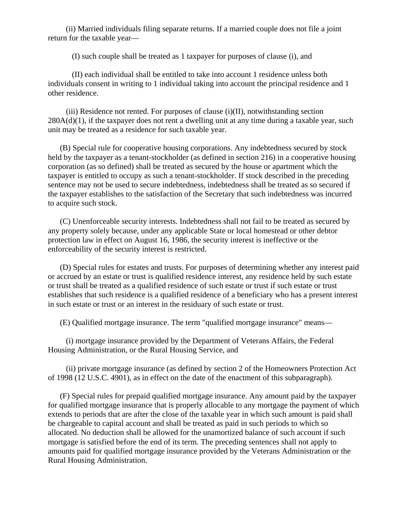(ii) Married individuals filing separate returns. If a married couple does not file a joint return for the taxable year—

(I) such couple shall be treated as 1 taxpayer for purposes of clause (i), and

 (II) each individual shall be entitled to take into account 1 residence unless both individuals consent in writing to 1 individual taking into account the principal residence and 1 other residence.

 (iii) Residence not rented. For purposes of clause (i)(II), notwithstanding section  $280A(d)(1)$ , if the taxpayer does not rent a dwelling unit at any time during a taxable year, such unit may be treated as a residence for such taxable year.

 (B) Special rule for cooperative housing corporations. Any indebtedness secured by stock held by the taxpayer as a tenant-stockholder (as defined in section 216) in a cooperative housing corporation (as so defined) shall be treated as secured by the house or apartment which the taxpayer is entitled to occupy as such a tenant-stockholder. If stock described in the preceding sentence may not be used to secure indebtedness, indebtedness shall be treated as so secured if the taxpayer establishes to the satisfaction of the Secretary that such indebtedness was incurred to acquire such stock.

 (C) Unenforceable security interests. Indebtedness shall not fail to be treated as secured by any property solely because, under any applicable State or local homestead or other debtor protection law in effect on August 16, 1986, the security interest is ineffective or the enforceability of the security interest is restricted.

 (D) Special rules for estates and trusts. For purposes of determining whether any interest paid or accrued by an estate or trust is qualified residence interest, any residence held by such estate or trust shall be treated as a qualified residence of such estate or trust if such estate or trust establishes that such residence is a qualified residence of a beneficiary who has a present interest in such estate or trust or an interest in the residuary of such estate or trust.

(E) Qualified mortgage insurance. The term "qualified mortgage insurance" means—

 (i) mortgage insurance provided by the Department of Veterans Affairs, the Federal Housing Administration, or the Rural Housing Service, and

 (ii) private mortgage insurance (as defined by section 2 of the Homeowners Protection Act of 1998 (12 U.S.C. 4901), as in effect on the date of the enactment of this subparagraph).

 (F) Special rules for prepaid qualified mortgage insurance. Any amount paid by the taxpayer for qualified mortgage insurance that is properly allocable to any mortgage the payment of which extends to periods that are after the close of the taxable year in which such amount is paid shall be chargeable to capital account and shall be treated as paid in such periods to which so allocated. No deduction shall be allowed for the unamortized balance of such account if such mortgage is satisfied before the end of its term. The preceding sentences shall not apply to amounts paid for qualified mortgage insurance provided by the Veterans Administration or the Rural Housing Administration.